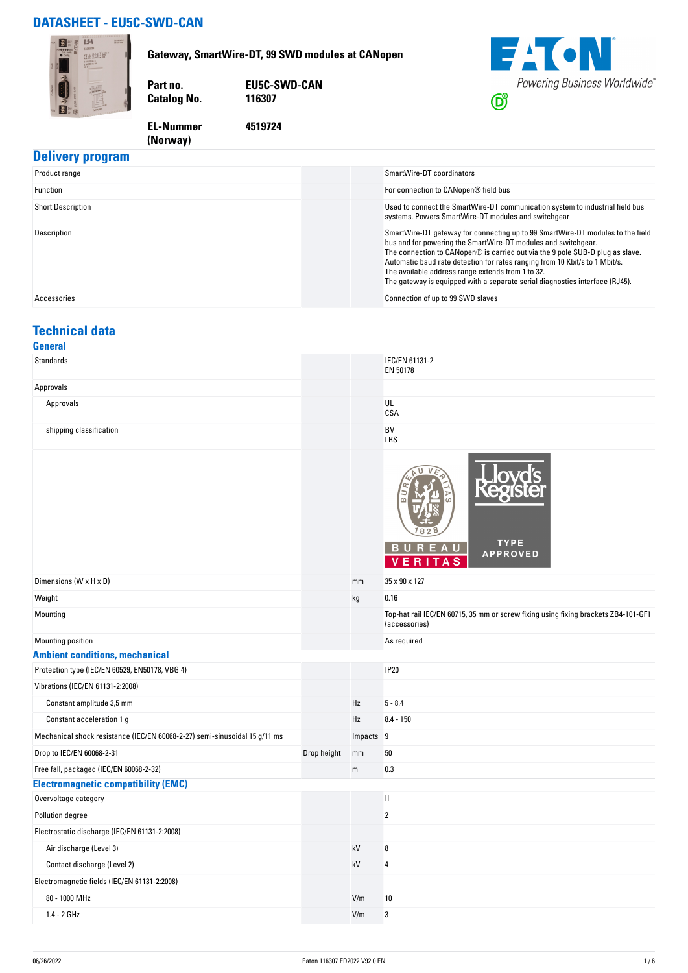## **DATASHEET - EU5C-SWD-CAN**

**(Norway)** 



#### **Delivery program**

| Product range            | SmartWire-DT coordinators                                                                                                                                                                                                                                                                                                                                                                                                                            |
|--------------------------|------------------------------------------------------------------------------------------------------------------------------------------------------------------------------------------------------------------------------------------------------------------------------------------------------------------------------------------------------------------------------------------------------------------------------------------------------|
| Function                 | For connection to CANopen® field bus                                                                                                                                                                                                                                                                                                                                                                                                                 |
| <b>Short Description</b> | Used to connect the SmartWire-DT communication system to industrial field bus<br>systems. Powers SmartWire-DT modules and switchgear                                                                                                                                                                                                                                                                                                                 |
| Description              | SmartWire-DT gateway for connecting up to 99 SmartWire-DT modules to the field<br>bus and for powering the SmartWire-DT modules and switchgear.<br>The connection to CANopen® is carried out via the 9 pole SUB-D plug as slave.<br>Automatic baud rate detection for rates ranging from 10 Kbit/s to 1 Mbit/s.<br>The available address range extends from 1 to 32.<br>The gateway is equipped with a separate serial diagnostics interface (RJ45). |
| Accessories              | Connection of up to 99 SWD slaves                                                                                                                                                                                                                                                                                                                                                                                                                    |

## **Technical data**

| General                                                                    |             |           |                                                                                                     |
|----------------------------------------------------------------------------|-------------|-----------|-----------------------------------------------------------------------------------------------------|
| Standards                                                                  |             |           | IEC/EN 61131-2<br>EN 50178                                                                          |
| Approvals                                                                  |             |           |                                                                                                     |
| Approvals                                                                  |             |           | UL<br>CSA                                                                                           |
| shipping classification                                                    |             |           | BV<br>LRS                                                                                           |
|                                                                            |             |           | TYPE<br><b>BUREAU</b><br><b>APPROVED</b><br>R<br>S<br>v<br>F.<br>A                                  |
| Dimensions (W x H x D)                                                     |             | mm        | 35 x 90 x 127                                                                                       |
| Weight                                                                     |             | kg        | 0.16                                                                                                |
| Mounting                                                                   |             |           | Top-hat rail IEC/EN 60715, 35 mm or screw fixing using fixing brackets ZB4-101-GF1<br>(accessories) |
| Mounting position                                                          |             |           | As required                                                                                         |
| <b>Ambient conditions, mechanical</b>                                      |             |           |                                                                                                     |
| Protection type (IEC/EN 60529, EN50178, VBG 4)                             |             |           | <b>IP20</b>                                                                                         |
| Vibrations (IEC/EN 61131-2:2008)                                           |             |           |                                                                                                     |
| Constant amplitude 3,5 mm                                                  |             | Hz        | $5 - 8.4$                                                                                           |
| Constant acceleration 1 g                                                  |             | Hz        | $8.4 - 150$                                                                                         |
| Mechanical shock resistance (IEC/EN 60068-2-27) semi-sinusoidal 15 g/11 ms |             | Impacts 9 |                                                                                                     |
| Drop to IEC/EN 60068-2-31                                                  | Drop height | mm        | 50                                                                                                  |
| Free fall, packaged (IEC/EN 60068-2-32)                                    |             | ${\sf m}$ | 0.3                                                                                                 |
| <b>Electromagnetic compatibility (EMC)</b>                                 |             |           |                                                                                                     |
| Overvoltage category                                                       |             |           | $\ensuremath{\mathsf{II}}$                                                                          |
| Pollution degree                                                           |             |           | $\overline{2}$                                                                                      |
| Electrostatic discharge (IEC/EN 61131-2:2008)                              |             |           |                                                                                                     |
| Air discharge (Level 3)                                                    |             | kV        | 8                                                                                                   |
| Contact discharge (Level 2)                                                |             | kV        | $\overline{4}$                                                                                      |
| Electromagnetic fields (IEC/EN 61131-2:2008)                               |             |           |                                                                                                     |
| 80 - 1000 MHz                                                              |             | V/m       | 10                                                                                                  |
| 1.4 - 2 GHz                                                                |             | V/m       | 3                                                                                                   |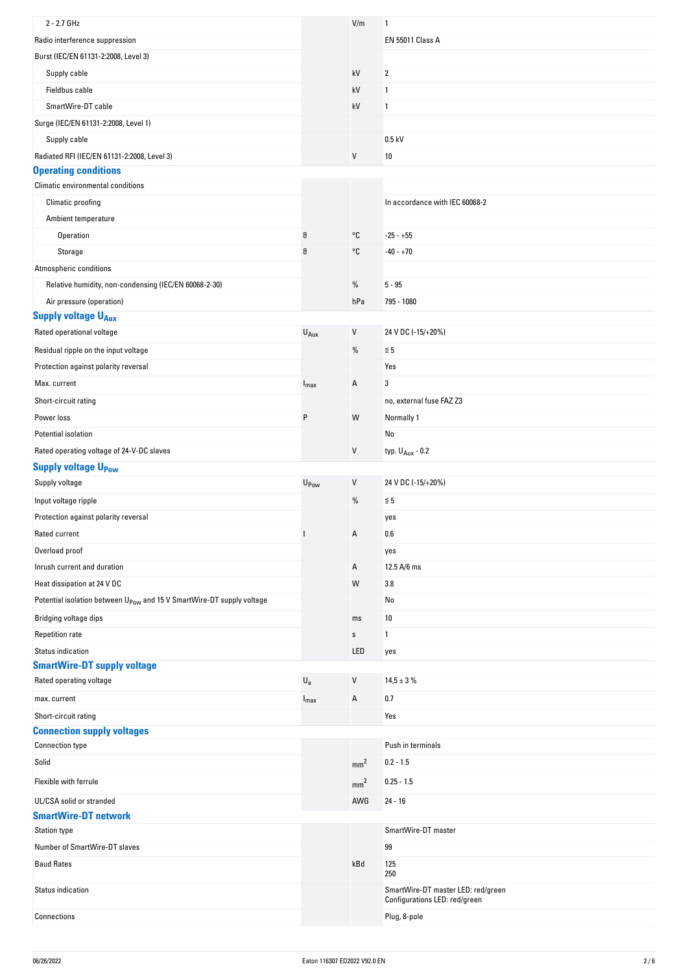| 2 - 2.7 GHz                                                                       |                           | V/m             | 1                                                                   |
|-----------------------------------------------------------------------------------|---------------------------|-----------------|---------------------------------------------------------------------|
| Radio interference suppression                                                    |                           |                 | <b>EN 55011 Class A</b>                                             |
| Burst (IEC/EN 61131-2:2008, Level 3)                                              |                           |                 |                                                                     |
| Supply cable                                                                      |                           | kV              | 2                                                                   |
| Fieldbus cable                                                                    |                           | kV              | 1                                                                   |
| SmartWire-DT cable                                                                |                           | kV              | 1                                                                   |
| Surge (IEC/EN 61131-2:2008, Level 1)                                              |                           |                 |                                                                     |
| Supply cable                                                                      |                           |                 | $0.5$ kV                                                            |
| Radiated RFI (IEC/EN 61131-2:2008, Level 3)                                       |                           | V               | 10                                                                  |
| <b>Operating conditions</b>                                                       |                           |                 |                                                                     |
| Climatic environmental conditions                                                 |                           |                 |                                                                     |
| Climatic proofing                                                                 |                           |                 | In accordance with IEC 60068-2                                      |
| Ambient temperature                                                               |                           |                 |                                                                     |
| Operation                                                                         | $\vartheta$               | °C              | $-25 - +55$                                                         |
| Storage                                                                           | $\vartheta$               | °C              | $-40 - +70$                                                         |
| Atmospheric conditions                                                            |                           |                 |                                                                     |
| Relative humidity, non-condensing (IEC/EN 60068-2-30)                             |                           | $\%$            | $5 - 95$                                                            |
| Air pressure (operation)                                                          |                           | hPa             | 795 - 1080                                                          |
| <b>Supply voltage UAux</b>                                                        |                           |                 |                                                                     |
| Rated operational voltage                                                         | $U_{Aux}$                 | $\sf V$         | 24 V DC (-15/+20%)                                                  |
| Residual ripple on the input voltage                                              |                           | %               | $\leq 5$                                                            |
| Protection against polarity reversal                                              |                           |                 | Yes                                                                 |
| Max. current                                                                      | $I_{\text{max}}$          | Α               | 3                                                                   |
| Short-circuit rating                                                              |                           |                 | no, external fuse FAZ Z3                                            |
| Power loss                                                                        | P                         | W               | Normally 1                                                          |
| Potential isolation                                                               |                           |                 | No                                                                  |
| Rated operating voltage of 24-V-DC slaves                                         |                           | V               | typ. $U_{Aux}$ - 0.2                                                |
| <b>Supply voltage UPow</b>                                                        |                           |                 |                                                                     |
| Supply voltage                                                                    | U <sub>Pow</sub>          | V               | 24 V DC (-15/+20%)                                                  |
| Input voltage ripple                                                              |                           | $\%$            | $\leq 5$                                                            |
| Protection against polarity reversal                                              |                           |                 | yes                                                                 |
| Rated current                                                                     |                           | А               | 0.6                                                                 |
| Overload proof                                                                    |                           |                 | yes                                                                 |
| Inrush current and duration                                                       |                           | Α               | 12.5 A/6 ms                                                         |
| Heat dissipation at 24 V DC                                                       |                           | W               | 3.8                                                                 |
| Potential isolation between U <sub>Pow</sub> and 15 V SmartWire-DT supply voltage |                           |                 | No                                                                  |
|                                                                                   |                           |                 |                                                                     |
| Bridging voltage dips                                                             |                           | ms              | 10                                                                  |
| <b>Repetition rate</b>                                                            |                           | $\mathbb S$     | 1                                                                   |
| <b>Status indication</b><br><b>SmartWire-DT supply voltage</b>                    |                           | LED             | yes                                                                 |
| Rated operating voltage                                                           | $\mathsf{U}_{\mathsf{e}}$ | V               | $14,5 \pm 3 \%$                                                     |
|                                                                                   |                           |                 |                                                                     |
| max. current                                                                      | $I_{\text{max}}$          | Α               | 0.7                                                                 |
| Short-circuit rating<br><b>Connection supply voltages</b>                         |                           |                 | Yes                                                                 |
| <b>Connection type</b>                                                            |                           |                 | Push in terminals                                                   |
| Solid                                                                             |                           |                 | $0.2 - 1.5$                                                         |
|                                                                                   |                           | mm <sup>2</sup> |                                                                     |
| Flexible with ferrule                                                             |                           | mm <sup>2</sup> | $0.25 - 1.5$                                                        |
| UL/CSA solid or stranded                                                          |                           | AWG             | $24 - 16$                                                           |
| <b>SmartWire-DT network</b>                                                       |                           |                 |                                                                     |
| <b>Station type</b>                                                               |                           |                 | SmartWire-DT master                                                 |
| Number of SmartWire-DT slaves                                                     |                           |                 | 99                                                                  |
| <b>Baud Rates</b>                                                                 |                           | kBd             | 125<br>250                                                          |
| Status indication                                                                 |                           |                 | SmartWire-DT master LED: red/green<br>Configurations LED: red/green |
| Connections                                                                       |                           |                 | Plug, 8-pole                                                        |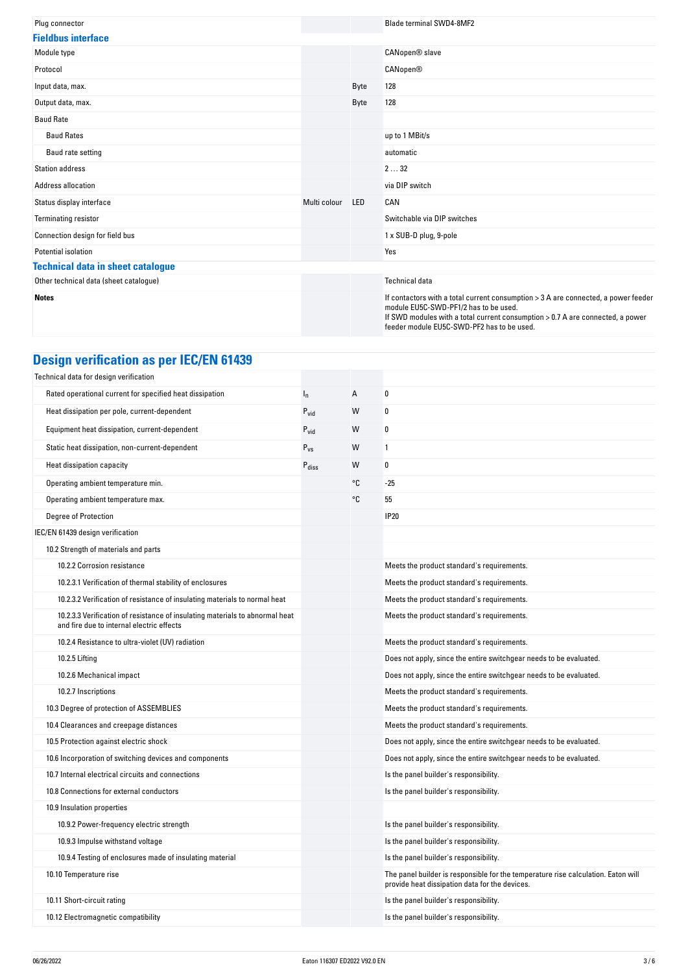| Plug connector                           |              |            | <b>Blade terminal SWD4-8MF2</b>                                                                                                                                                                                                                             |
|------------------------------------------|--------------|------------|-------------------------------------------------------------------------------------------------------------------------------------------------------------------------------------------------------------------------------------------------------------|
| <b>Fieldbus interface</b>                |              |            |                                                                                                                                                                                                                                                             |
| Module type                              |              |            | CANopen® slave                                                                                                                                                                                                                                              |
| Protocol                                 |              |            | <b>CANopen®</b>                                                                                                                                                                                                                                             |
| Input data, max.                         |              | Byte       | 128                                                                                                                                                                                                                                                         |
| Output data, max.                        |              | Byte       | 128                                                                                                                                                                                                                                                         |
| <b>Baud Rate</b>                         |              |            |                                                                                                                                                                                                                                                             |
| <b>Baud Rates</b>                        |              |            | up to 1 MBit/s                                                                                                                                                                                                                                              |
| Baud rate setting                        |              |            | automatic                                                                                                                                                                                                                                                   |
| <b>Station address</b>                   |              |            | 232                                                                                                                                                                                                                                                         |
| Address allocation                       |              |            | via DIP switch                                                                                                                                                                                                                                              |
| Status display interface                 | Multi colour | <b>LED</b> | CAN                                                                                                                                                                                                                                                         |
| <b>Terminating resistor</b>              |              |            | Switchable via DIP switches                                                                                                                                                                                                                                 |
| Connection design for field bus          |              |            | 1 x SUB-D plug, 9-pole                                                                                                                                                                                                                                      |
| Potential isolation                      |              |            | Yes                                                                                                                                                                                                                                                         |
| <b>Technical data in sheet catalogue</b> |              |            |                                                                                                                                                                                                                                                             |
| Other technical data (sheet catalogue)   |              |            | <b>Technical data</b>                                                                                                                                                                                                                                       |
| <b>Notes</b>                             |              |            | If contactors with a total current consumption > 3 A are connected, a power feeder<br>module EU5C-SWD-PF1/2 has to be used.<br>If SWD modules with a total current consumption > 0.7 A are connected, a power<br>feeder module EU5C-SWD-PF2 has to be used. |

# **Design verification as per IEC/EN 61439**

| Technical data for design verification                                                                                    |                   |    |                                                                                                                                     |
|---------------------------------------------------------------------------------------------------------------------------|-------------------|----|-------------------------------------------------------------------------------------------------------------------------------------|
| Rated operational current for specified heat dissipation                                                                  | $I_{n}$           | А  | 0                                                                                                                                   |
| Heat dissipation per pole, current-dependent                                                                              | $P_{vid}$         | W  | $\boldsymbol{0}$                                                                                                                    |
| Equipment heat dissipation, current-dependent                                                                             | $P_{\text{vid}}$  | W  | 0                                                                                                                                   |
| Static heat dissipation, non-current-dependent                                                                            | $P_{VS}$          | W  | 1                                                                                                                                   |
| Heat dissipation capacity                                                                                                 | $P_{\text{diss}}$ | W  | 0                                                                                                                                   |
| Operating ambient temperature min.                                                                                        |                   | °C | $-25$                                                                                                                               |
| Operating ambient temperature max.                                                                                        |                   | °C | 55                                                                                                                                  |
| Degree of Protection                                                                                                      |                   |    | <b>IP20</b>                                                                                                                         |
| IEC/EN 61439 design verification                                                                                          |                   |    |                                                                                                                                     |
| 10.2 Strength of materials and parts                                                                                      |                   |    |                                                                                                                                     |
| 10.2.2 Corrosion resistance                                                                                               |                   |    | Meets the product standard's requirements.                                                                                          |
| 10.2.3.1 Verification of thermal stability of enclosures                                                                  |                   |    | Meets the product standard's requirements.                                                                                          |
| 10.2.3.2 Verification of resistance of insulating materials to normal heat                                                |                   |    | Meets the product standard's requirements.                                                                                          |
| 10.2.3.3 Verification of resistance of insulating materials to abnormal heat<br>and fire due to internal electric effects |                   |    | Meets the product standard's requirements.                                                                                          |
| 10.2.4 Resistance to ultra-violet (UV) radiation                                                                          |                   |    | Meets the product standard's requirements.                                                                                          |
| 10.2.5 Lifting                                                                                                            |                   |    | Does not apply, since the entire switchgear needs to be evaluated.                                                                  |
| 10.2.6 Mechanical impact                                                                                                  |                   |    | Does not apply, since the entire switchgear needs to be evaluated.                                                                  |
| 10.2.7 Inscriptions                                                                                                       |                   |    | Meets the product standard's requirements.                                                                                          |
| 10.3 Degree of protection of ASSEMBLIES                                                                                   |                   |    | Meets the product standard's requirements.                                                                                          |
| 10.4 Clearances and creepage distances                                                                                    |                   |    | Meets the product standard's requirements.                                                                                          |
| 10.5 Protection against electric shock                                                                                    |                   |    | Does not apply, since the entire switchgear needs to be evaluated.                                                                  |
| 10.6 Incorporation of switching devices and components                                                                    |                   |    | Does not apply, since the entire switchgear needs to be evaluated.                                                                  |
| 10.7 Internal electrical circuits and connections                                                                         |                   |    | Is the panel builder's responsibility.                                                                                              |
| 10.8 Connections for external conductors                                                                                  |                   |    | Is the panel builder's responsibility.                                                                                              |
| 10.9 Insulation properties                                                                                                |                   |    |                                                                                                                                     |
| 10.9.2 Power-frequency electric strength                                                                                  |                   |    | Is the panel builder's responsibility.                                                                                              |
| 10.9.3 Impulse withstand voltage                                                                                          |                   |    | Is the panel builder's responsibility.                                                                                              |
| 10.9.4 Testing of enclosures made of insulating material                                                                  |                   |    | Is the panel builder's responsibility.                                                                                              |
| 10.10 Temperature rise                                                                                                    |                   |    | The panel builder is responsible for the temperature rise calculation. Eaton will<br>provide heat dissipation data for the devices. |
| 10.11 Short-circuit rating                                                                                                |                   |    | Is the panel builder's responsibility.                                                                                              |
| 10.12 Electromagnetic compatibility                                                                                       |                   |    | Is the panel builder's responsibility.                                                                                              |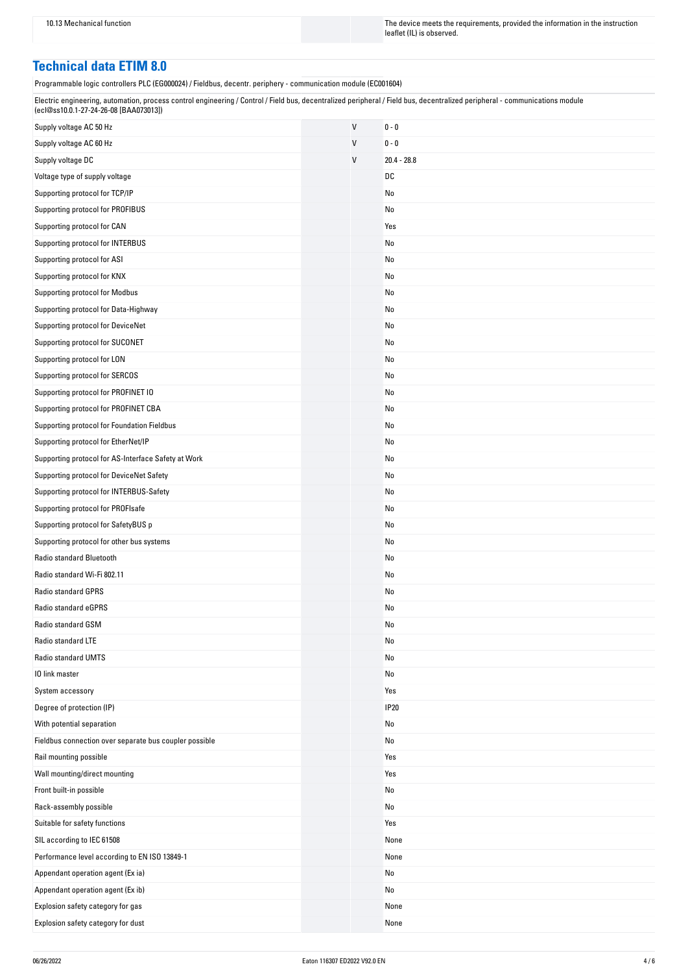10.13 Mechanical function The instruction The device meets the requirements, provided the information in the instruction leaflet (IL) is observed.

### **Technical data ETIM 8.0**

Programmable logic controllers PLC (EG000024) / Fieldbus, decentr. periphery - communication module (EC001604)

| Electric engineering, automation, process control engineering / Control / Field bus, decentralized peripheral / Field bus, decentralized peripheral - communications module |  |
|-----------------------------------------------------------------------------------------------------------------------------------------------------------------------------|--|
| (ecl@ss10.0.1-27-24-26-08 [BAA073013])                                                                                                                                      |  |

| Supply voltage AC 50 Hz                                | V | $0 - 0$       |
|--------------------------------------------------------|---|---------------|
| Supply voltage AC 60 Hz                                | V | $0 - 0$       |
| Supply voltage DC                                      | V | $20.4 - 28.8$ |
| Voltage type of supply voltage                         |   | DC            |
| Supporting protocol for TCP/IP                         |   | No            |
| Supporting protocol for PROFIBUS                       |   | No            |
| Supporting protocol for CAN                            |   | Yes           |
| Supporting protocol for INTERBUS                       |   | No            |
| Supporting protocol for ASI                            |   | No            |
| Supporting protocol for KNX                            |   | No            |
| Supporting protocol for Modbus                         |   | No            |
| Supporting protocol for Data-Highway                   |   | No            |
| Supporting protocol for DeviceNet                      |   | No            |
| Supporting protocol for SUCONET                        |   | No            |
| Supporting protocol for LON                            |   | No            |
| Supporting protocol for SERCOS                         |   | No            |
| Supporting protocol for PROFINET IO                    |   | No            |
| Supporting protocol for PROFINET CBA                   |   | No            |
| Supporting protocol for Foundation Fieldbus            |   | No            |
| Supporting protocol for EtherNet/IP                    |   | No            |
| Supporting protocol for AS-Interface Safety at Work    |   | No            |
| Supporting protocol for DeviceNet Safety               |   | No            |
| Supporting protocol for INTERBUS-Safety                |   | No            |
| Supporting protocol for PROFIsafe                      |   | No            |
| Supporting protocol for SafetyBUS p                    |   | No            |
| Supporting protocol for other bus systems              |   | No            |
| Radio standard Bluetooth                               |   | No            |
| Radio standard Wi-Fi 802.11                            |   | No            |
| <b>Radio standard GPRS</b>                             |   | No            |
| Radio standard eGPRS                                   |   | No            |
| Radio standard GSM                                     |   | No            |
| Radio standard LTE                                     |   | No            |
| Radio standard UMTS                                    |   | No            |
| 10 link master                                         |   | No            |
| System accessory                                       |   | Yes           |
| Degree of protection (IP)                              |   | <b>IP20</b>   |
| With potential separation                              |   | No            |
| Fieldbus connection over separate bus coupler possible |   | No            |
| Rail mounting possible                                 |   | Yes           |
| Wall mounting/direct mounting                          |   | Yes           |
| Front built-in possible                                |   | No            |
| Rack-assembly possible                                 |   | No            |
| Suitable for safety functions                          |   | Yes           |
| SIL according to IEC 61508                             |   | None          |
| Performance level according to EN ISO 13849-1          |   | None          |
| Appendant operation agent (Ex ia)                      |   | No            |
| Appendant operation agent (Ex ib)                      |   | No            |
| Explosion safety category for gas                      |   | None          |
| Explosion safety category for dust                     |   | None          |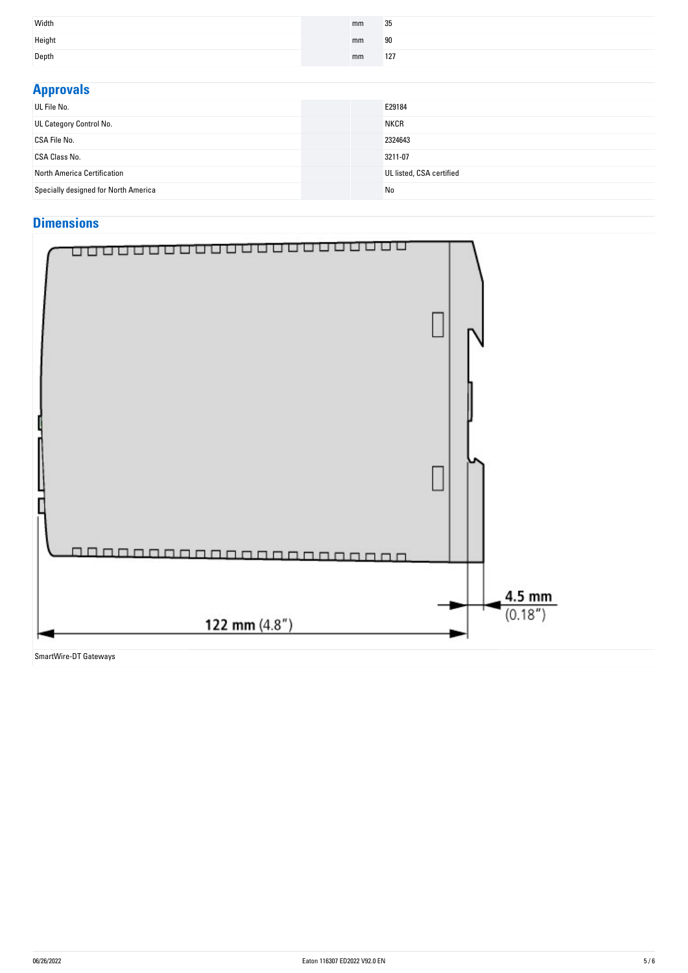| Width  | mm | 35  |
|--------|----|-----|
| Height | mm | 90  |
| Depth  | mm | 127 |

| <b>Approvals</b>                     |                          |
|--------------------------------------|--------------------------|
| UL File No.                          | E29184                   |
| UL Category Control No.              | <b>NKCR</b>              |
| CSA File No.                         | 2324643                  |
| CSA Class No.                        | 3211-07                  |
| North America Certification          | UL listed, CSA certified |
| Specially designed for North America | No                       |

## **Dimensions**



SmartWire-DT Gateways